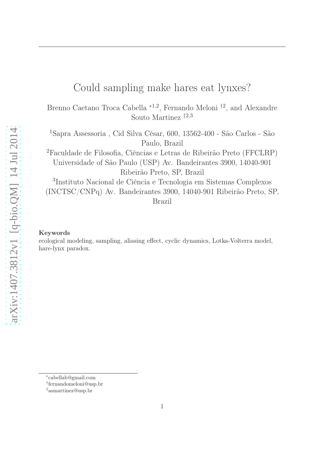# Could sampling make hares eat lynxes?

Brenno Caetano Troca Cabella <sup>\*1,2</sup>, Fernando Meloni <sup>†2</sup>, and Alexandre Souto Martinez ‡2,3

<sup>1</sup>Sapra Assessoria , Cid Silva César, 600, 13562-400 - São Carlos - São Paulo, Brazil <sup>2</sup>Faculdade de Filosofia, Ciências e Letras de Ribeirão Preto (FFCLRP) Universidade of São Paulo (USP) Av. Bandeirantes 3900, 14040-901 Ribeirão Preto, SP, Brazil 3 Instituto Nacional de Ciência e Tecnologia em Sistemas Complexos (INCTSC/CNPq) Av. Bandeirantes 3900, 14040-901 Ribeirão Preto, SP,

Brazil

#### Keywords

ecological modeling, sampling, aliasing effect, cyclic dynamics, Lotka-Volterra model, hare-lynx paradox.

<sup>∗</sup> cabellab@gmail.com

<sup>†</sup> fernandomeloni@usp.br

<sup>‡</sup>asmartinez@usp.br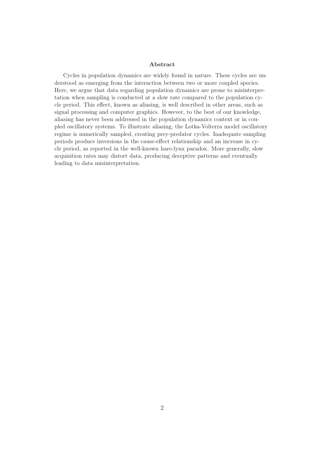#### Abstract

Cycles in population dynamics are widely found in nature. These cycles are understood as emerging from the interaction between two or more coupled species. Here, we argue that data regarding population dynamics are prone to misinterpretation when sampling is conducted at a slow rate compared to the population cycle period. This effect, known as aliasing, is well described in other areas, such as signal processing and computer graphics. However, to the best of our knowledge, aliasing has never been addressed in the population dynamics context or in coupled oscillatory systems. To illustrate aliasing, the Lotka-Volterra model oscillatory regime is numerically sampled, creating prey-predator cycles. Inadequate sampling periods produce inversions in the cause-effect relationship and an increase in cycle period, as reported in the well-known hare-lynx paradox. More generally, slow acquisition rates may distort data, producing deceptive patterns and eventually leading to data misinterpretation.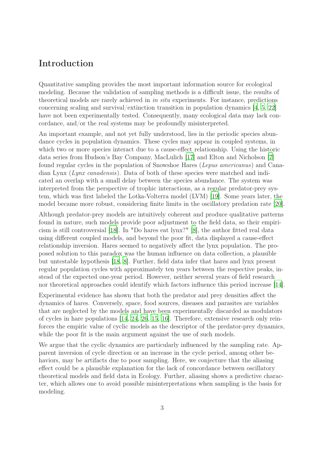### Introduction

Quantitative sampling provides the most important information source for ecological modeling. Because the validation of sampling methods is a difficult issue, the results of theoretical models are rarely achieved in in situ experiments. For instance, predictions concerning scaling and survival/extinction transition in population dynamics [\[4,](#page-6-0) [5,](#page-7-0) [22\]](#page-8-0) have not been experimentally tested. Consequently, many ecological data may lack concordance, and/or the real systems may be profoundly misinterpreted.

An important example, and not yet fully understood, lies in the periodic species abundance cycles in population dynamics. These cycles may appear in coupled systems, in which two or more species interact due to a cause-effect relationship. Using the historic data series from Hudson's Bay Company, MacLulich [\[17](#page-8-1)] and Elton and Nicholson [\[7\]](#page-7-1) found regular cycles in the population of Snowshoe Hares (Lepus americanus) and Canadian Lynx (Lynx canadensis). Data of both of these species were matched and indicated an overlap with a small delay between the species abundance. The system was interpreted from the perspective of trophic interactions, as a regular predator-prey system, which was first labeled the Lotka-Volterra model (LVM) [\[19\]](#page-8-2). Some years later, the model became more robust, considering finite limits in the oscillatory predation rate [\[20](#page-8-3)].

Although predator-prey models are intuitively coherent and produce qualitative patterns found in nature, such models provide poor adjustment to the field data, so their empiricism is still controversial [\[18\]](#page-8-4). In "Do hares eat lynx?" [\[8](#page-7-2)], the author fitted real data using different coupled models, and beyond the poor fit, data displayed a cause-effect relationship inversion. Hares seemed to negatively affect the lynx population. The proposed solution to this paradox was the human influence on data collection, a plausible but untestable hypothesis [\[18](#page-8-4), [8](#page-7-2)]. Further, field data infer that hares and lynx present regular population cycles with approximately ten years between the respective peaks, instead of the expected one-year period. However, neither several years of field research nor theoretical approaches could identify which factors influence this period increase [\[14\]](#page-7-3).

Experimental evidence has shown that both the predator and prey densities affect the dynamics of hares. Conversely, space, food sources, diseases and parasites are variables that are neglected by the models and have been experimentally discarded as modulators of cycles in hare populations [\[14,](#page-7-3) [24,](#page-8-5) [26,](#page-8-6) [15,](#page-7-4) [16](#page-7-5)]. Therefore, extensive research only reinforces the empiric value of cyclic models as the descriptor of the predator-prey dynamics, while the poor fit is the main argument against the use of such models.

We argue that the cyclic dynamics are particularly influenced by the sampling rate. Apparent inversion of cycle direction or an increase in the cycle period, among other behaviors, may be artifacts due to poor sampling. Here, we conjecture that the aliasing effect could be a plausible explanation for the lack of concordance between oscillatory theoretical models and field data in Ecology. Further, aliasing shows a predictive character, which allows one to avoid possible misinterpretations when sampling is the basis for modeling.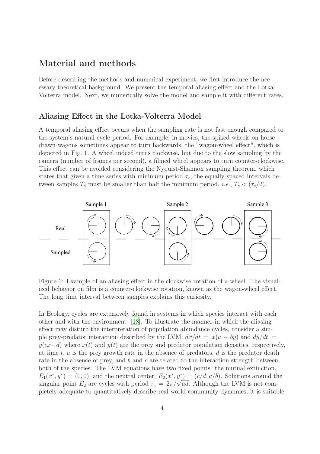### Material and methods

Before describing the methods and numerical experiment, we first introduce the necessary theoretical background. We present the temporal aliasing effect and the Lotka-Volterra model. Next, we numerically solve the model and sample it with different rates.

### Aliasing Effect in the Lotka-Volterra Model

A temporal aliasing effect occurs when the sampling rate is not fast enough compared to the system's natural cycle period. For example, in movies, the spiked wheels on horsedrawn wagons sometimes appear to turn backwards, the "wagon-wheel effect", which is depicted in Fig. 1. A wheel indeed turns clockwise, but due to the slow sampling by the camera (number of frames per second), a filmed wheel appears to turn counter-clockwise. This effect can be avoided considering the Nyquist-Shannon sampling theorem, which states that given a time series with minimum period  $\tau_e$ , the equally spaced intervals between samples  $T_s$  must be smaller than half the minimum period, *i.e.*,  $T_s < (\tau_e/2)$ .



Figure 1: Example of an aliasing effect in the clockwise rotation of a wheel. The visualized behavior on film is a counter-clockwise rotation, known as the wagon-wheel effect. The long time interval between samples explains this curiosity.

In Ecology, cycles are extensively found in systems in which species interact with each other and with the environment [\[18](#page-8-4)]. To illustrate the manner in which the aliasing effect may disturb the interpretation of population abundance cycles, consider a simple prey-predator interaction described by the LVM:  $dx/dt = x(a - by)$  and  $dy/dt =$  $y(cx-d)$  where  $x(t)$  and  $y(t)$  are the prey and predator population densities, respectively, at time  $t, a$  is the prey growth rate in the absence of predators,  $d$  is the predator death rate in the absence of prey, and  $b$  and  $c$  are related to the interaction strength between both of the species. The LVM equations have two fixed points: the mutual extinction,  $E_1(x^*,y^*) = (0,0)$ , and the neutral center,  $E_2(x^*,y^*) = (c/d, a/b)$ . Solutions around the singular point  $E_2$  are cycles with period  $\tau_e = 2\pi/\sqrt{ad}$ . Although the LVM is not completely adequate to quantitatively describe real-world community dynamics, it is suitable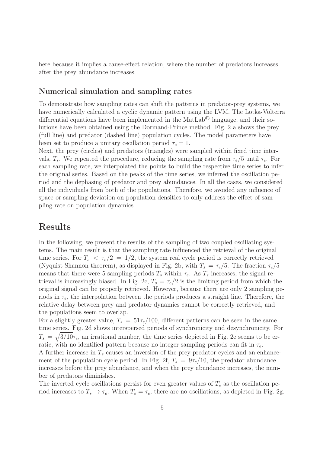here because it implies a cause-effect relation, where the number of predators increases after the prey abundance increases.

### Numerical simulation and sampling rates

To demonstrate how sampling rates can shift the patterns in predator-prey systems, we have numerically calculated a cyclic dynamic pattern using the LVM. The Lotka-Volterra differential equations have been implemented in the MatLab<sup>®</sup> language, and their solutions have been obtained using the Dormand-Prince method. Fig. 2 a shows the prey (full line) and predator (dashed line) population cycles. The model parameters have been set to produce a unitary oscillation period  $\tau_e = 1$ .

Next, the prey (circles) and predators (triangles) were sampled within fixed time intervals,  $T_s$ . We repeated the procedure, reducing the sampling rate from  $\tau_e/5$  until  $\tau_e$ . For each sampling rate, we interpolated the points to build the respective time series to infer the original series. Based on the peaks of the time series, we inferred the oscillation period and the dephasing of predator and prey abundances. In all the cases, we considered all the individuals from both of the populations. Therefore, we avoided any influence of space or sampling deviation on population densities to only address the effect of sampling rate on population dynamics.

### Results

In the following, we present the results of the sampling of two coupled oscillating systems. The main result is that the sampling rate influenced the retrieval of the original time series. For  $T_s < \tau_e/2 = 1/2$ , the system real cycle period is correctly retrieved (Nyquist-Shannon theorem), as displayed in Fig. 2b, with  $T_s = \tau_e/5$ . The fraction  $\tau_e/5$ means that there were 5 sampling periods  $T_s$  within  $\tau_e$ . As  $T_s$  increases, the signal retrieval is increasingly biased. In Fig. 2c,  $T_s = \tau_e/2$  is the limiting period from which the original signal can be properly retrieved. However, because there are only 2 sampling periods in  $\tau_e$ , the interpolation between the periods produces a straight line. Therefore, the relative delay between prey and predator dynamics cannot be correctly retrieved, and the populations seem to overlap.

For a slightly greater value,  $T_s = 51\tau_e/100$ , different patterns can be seen in the same time series. Fig. 2d shows interspersed periods of synchronicity and desynchronicity. For  $T_s = \sqrt{3/10}\tau_e$ , an irrational number, the time series depicted in Fig. 2e seems to be erratic, with no identified pattern because no integer sampling periods can fit in  $\tau_e$ . A further increase in  $T_s$  causes an inversion of the prey-predator cycles and an enhancement of the population cycle period. In Fig. 2f,  $T_s = 9\tau_e/10$ , the predator abundance increases before the prey abundance, and when the prey abundance increases, the number of predators diminishes.

The inverted cycle oscillations persist for even greater values of  $T_s$  as the oscillation period increases to  $T_s \to \tau_e$ . When  $T_s = \tau_e$ , there are no oscillations, as depicted in Fig. 2g.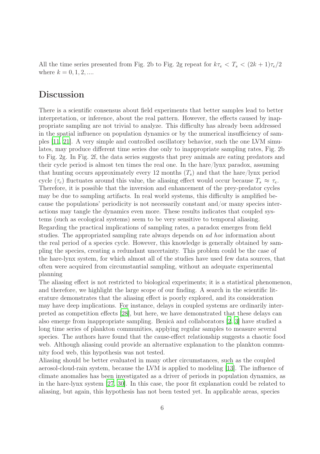All the time series presented from Fig. 2b to Fig. 2g repeat for  $k\tau_e < T_s < (2k+1)\tau_e/2$ where  $k = 0, 1, 2, ...$ 

## Discussion

There is a scientific consensus about field experiments that better samples lead to better interpretation, or inference, about the real pattern. However, the effects caused by inappropriate sampling are not trivial to analyze. This difficulty has already been addressed in the spatial influence on population dynamics or by the numerical insufficiency of samples [\[11,](#page-7-6) [21](#page-8-7)]. A very simple and controlled oscillatory behavior, such the one LVM simulates, may produce different time series due only to inappropriate sampling rates, Fig. 2b to Fig. 2g. In Fig. 2f, the data series suggests that prey animals are eating predators and their cycle period is almost ten times the real one. In the hare/lynx paradox, assuming that hunting occurs approximately every 12 months  $(T_s)$  and that the hare/lynx period cycle  $(\tau_e)$  fluctuates around this value, the aliasing effect would occur because  $T_s \approx \tau_e$ . Therefore, it is possible that the inversion and enhancement of the prey-predator cycles may be due to sampling artifacts. In real world systems, this difficulty is amplified because the populations' periodicity is not necessarily constant and/or many species interactions may tangle the dynamics even more. These results indicates that coupled systems (such as ecological systems) seem to be very sensitive to temporal aliasing. Regarding the practical implications of sampling rates, a paradox emerges from field studies. The appropriated sampling rate always depends on ad hoc information about the real period of a species cycle. However, this knowledge is generally obtained by sampling the species, creating a redundant uncertainty. This problem could be the case of the hare-lynx system, for which almost all of the studies have used few data sources, that often were acquired from circumstantial sampling, without an adequate experimental planning

The aliasing effect is not restricted to biological experiments; it is a statistical phenomenon, and therefore, we highlight the large scope of our finding. A search in the scientific literature demonstrates that the aliasing effect is poorly explored, and its consideration may have deep implications. For instance, delays in coupled systems are ordinarily interpreted as competition effects [\[28\]](#page-8-8), but here, we have demonstrated that these delays can also emerge from inappropriate sampling. Benicà and collaborators [\[2,](#page-6-1) [3\]](#page-6-2) have studied a long time series of plankton communities, applying regular samples to measure several species. The authors have found that the cause-effect relationship suggests a chaotic food web. Although aliasing could provide an alternative explanation to the plankton community food web, this hypothesis was not tested.

Aliasing should be better evaluated in many other circumstances, such as the coupled aerosol-cloud-rain system, because the LVM is applied to modeling [\[13\]](#page-7-7). The influence of climate anomalies has been investigated as a driver of periods in population dynamics, as in the hare-lynx system [\[27,](#page-8-9) [30\]](#page-8-10). In this case, the poor fit explanation could be related to aliasing, but again, this hypothesis has not been tested yet. In applicable areas, species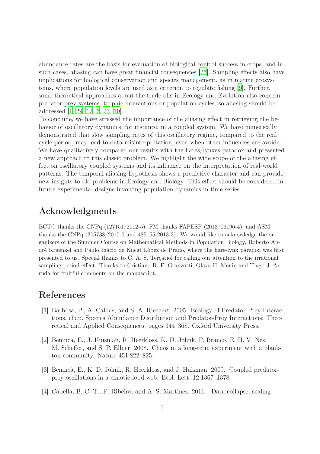abundance rates are the basis for evaluation of biological control success in crops, and in such cases, aliasing can have great financial consequences [\[25](#page-8-11)]. Sampling effects also have implications for biological conservation and species management, as in marine ecosystems, where population levels are used as a criterion to regulate fishing [\[9\]](#page-7-8). Further, some theoretical approaches about the trade-offs in Ecology and Evolution also concern predator-prey systems, trophic interactions or population cycles, so aliasing should be addressed [\[1,](#page-6-3) [29](#page-8-12), [12](#page-7-9), [6](#page-7-10), [23](#page-8-13), [10\]](#page-7-11).

To conclude, we have stressed the importance of the aliasing effect in retrieving the behavior of oscillatory dynamics, for instance, in a coupled system. We have numerically demonstrated that slow sampling rates of this oscillatory regime, compared to the real cycle period, may lead to data misinterpretation, even when other influences are avoided. We have qualitatively compared our results with the hares/lynxes paradox and presented a new approach to this classic problem. We highlight the wide scope of the aliasing effect on oscillatory coupled systems and its influence on the interpretation of real-world patterns. The temporal aliasing hypothesis shows a predictive character and can provide new insights to old problems in Ecology and Biology. This effect should be considered in future experimental designs involving population dynamics in time series.

### Acknowledgments

BCTC thanks the CNPq (127151/2012-5), FM thanks FAPESP (2013/06196-4), and ASM thanks the CNPq (305738/2010-0 and 485155-2013-3). We would like to acknowledge the organizers of the Summer Course on Mathematical Methods in Population Biology, Roberto André Kraenkel and Paulo Inácio de Knegt López de Prado, where the hare-lynx paradox was first presented to us. Special thanks to C. A. S. Terçariol for calling our attention to the irrational sampling period effect. Thanks to Cristiano R. F. Granzotti, Olavo H. Menin and Tiago J. Arruda for fruitful comments on the manuscript.

## References

- <span id="page-6-3"></span>[1] Barbosa, P., A. Caldas, and S. A. Riechert. 2005. Ecology of Predator-Prey Interactions, chap. Species Abundance Distribution and Predator-Prey Interactions: Theoretical and Applied Consequences, pages 344–368. Oxford University Press.
- <span id="page-6-1"></span>[2] Benincà, E., J. Huisman, R. Heerkloss, K. D. Jöhnk, P. Branco, E. H. V. Nes, M. Scheffer, and S. P. Ellner. 2008. Chaos in a long-term experiment with a plankton community. Nature 451:822–825.
- <span id="page-6-2"></span>[3] Benincà, E., K. D. Jöhnk, R. Heerkloss, and J. Huisman. 2009. Coupled predatorprey oscillations in a chaotic food web. Ecol. Lett. 12:1367–1378.
- <span id="page-6-0"></span>[4] Cabella, B. C. T., F. Ribeiro, and A. S. Martinez. 2011. Data collapse, scaling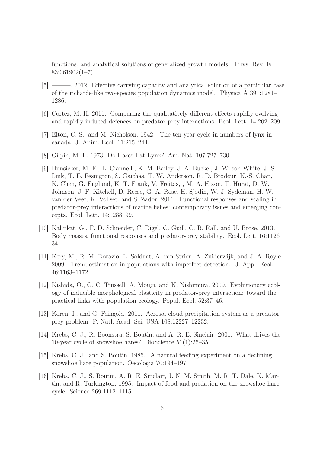functions, and analytical solutions of generalized growth models. Phys. Rev. E  $83:061902(1-7)$ .

- <span id="page-7-0"></span>[5] ———. 2012. Effective carrying capacity and analytical solution of a particular case of the richards-like two-species population dynamics model. Physica A 391:1281– 1286.
- <span id="page-7-10"></span>[6] Cortez, M. H. 2011. Comparing the qualitatively different effects rapidly evolving and rapidly induced defences on predator-prey interactions. Ecol. Lett. 14:202–209.
- <span id="page-7-1"></span>[7] Elton, C. S., and M. Nicholson. 1942. The ten year cycle in numbers of lynx in canada. J. Anim. Ecol. 11:215–244.
- <span id="page-7-2"></span>[8] Gilpin, M. E. 1973. Do Hares Eat Lynx? Am. Nat. 107:727–730.
- <span id="page-7-8"></span>[9] Hunsicker, M. E., L. Ciannelli, K. M. Bailey, J. A. Buckel, J. Wilson White, J. S. Link, T. E. Essington, S. Gaichas, T. W. Anderson, R. D. Brodeur, K.-S. Chan, K. Chen, G. Englund, K. T. Frank, V. Freitas, , M. A. Hixon, T. Hurst, D. W. Johnson, J. F. Kitchell, D. Reese, G. A. Rose, H. Sjodin, W. J. Sydeman, H. W. van der Veer, K. Vollset, and S. Zador. 2011. Functional responses and scaling in predator-prey interactions of marine fishes: contemporary issues and emerging concepts. Ecol. Lett. 14:1288–99.
- <span id="page-7-11"></span>[10] Kalinkat, G., F. D. Schneider, C. Digel, C. Guill, C. B. Rall, and U. Brose. 2013. Body masses, functional responses and predator-prey stability. Ecol. Lett. 16:1126– 34.
- <span id="page-7-6"></span>[11] Kery, M., R. M. Dorazio, L. Soldaat, A. van Strien, A. Zuiderwijk, and J. A. Royle. 2009. Trend estimation in populations with imperfect detection. J. Appl. Ecol. 46:1163–1172.
- <span id="page-7-9"></span>[12] Kishida, O., G. C. Trussell, A. Mougi, and K. Nishimura. 2009. Evolutionary ecology of inducible morphological plasticity in predator-prey interaction: toward the practical links with population ecology. Popul. Ecol. 52:37–46.
- <span id="page-7-7"></span>[13] Koren, I., and G. Feingold. 2011. Aerosol-cloud-precipitation system as a predatorprey problem. P. Natl. Acad. Sci. USA 108:12227–12232.
- <span id="page-7-3"></span>[14] Krebs, C. J., R. Boonstra, S. Boutin, and A. R. E. Sinclair. 2001. What drives the 10-year cycle of snowshoe hares? BioScience 51(1):25–35.
- <span id="page-7-4"></span>[15] Krebs, C. J., and S. Boutin. 1985. A natural feeding experiment on a declining snowshoe hare population. Oecologia 70:194–197.
- <span id="page-7-5"></span>[16] Krebs, C. J., S. Boutin, A. R. E. Sinclair, J. N. M. Smith, M. R. T. Dale, K. Martin, and R. Turkington. 1995. Impact of food and predation on the snowshoe hare cycle. Science 269:1112–1115.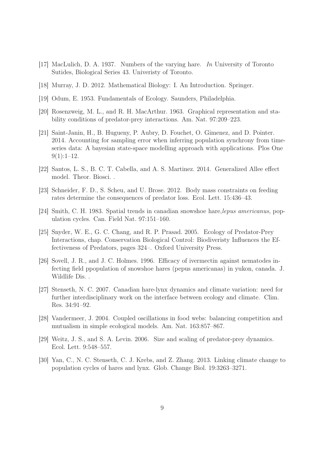- <span id="page-8-1"></span>[17] MacLulich, D. A. 1937. Numbers of the varying hare. In University of Toronto Sutides, Biological Series 43. Univeristy of Toronto.
- <span id="page-8-4"></span>[18] Murray, J. D. 2012. Mathematical Biology: I. An Introduction. Springer.
- <span id="page-8-2"></span>[19] Odum, E. 1953. Fundamentals of Ecology. Saunders, Philadelphia.
- <span id="page-8-3"></span>[20] Rosenzweig, M. L., and R. H. MacArthur. 1963. Graphical representation and stability conditions of predator-prey interactions. Am. Nat. 97:209–223.
- <span id="page-8-7"></span>[21] Saint-Janin, H., B. Hugueny, P. Aubry, D. Fouchet, O. Gimenez, and D. Pointer. 2014. Accounting for sampling error when inferring population synchrony from timeseries data: A bayesian state-space modelling approach with applications. Plos One  $9(1):1-12.$
- <span id="page-8-0"></span>[22] Santos, L. S., B. C. T. Cabella, and A. S. Martinez. 2014. Generalized Allee effect model. Theor. Biosci. .
- <span id="page-8-13"></span>[23] Schneider, F. D., S. Scheu, and U. Brose. 2012. Body mass constraints on feeding rates determine the consequences of predator loss. Ecol. Lett. 15:436–43.
- <span id="page-8-5"></span>[24] Smith, C. H. 1983. Spatial trends in canadian snowshoe hare,lepus americanus, population cycles. Can. Field Nat. 97:151–160.
- <span id="page-8-11"></span>[25] Snyder, W. E., G. C. Chang, and R. P. Prasad. 2005. Ecology of Predator-Prey Interactions, chap. Conservation Biological Control: Biodiveristy Influences the Effectiveness of Predators, pages 324–. Oxford University Press.
- <span id="page-8-6"></span>[26] Sovell, J. R., and J. C. Holmes. 1996. Efficacy of ivermectin against nematodes infecting field ppopulation of snowshoe hares (pepus americanas) in yukon, canada. J. Wildlife Dis. .
- <span id="page-8-9"></span>[27] Stenseth, N. C. 2007. Canadian hare-lynx dynamics and climate variation: need for further interdisciplinary work on the interface between ecology and climate. Clim. Res. 34:91–92.
- <span id="page-8-8"></span>[28] Vandermeer, J. 2004. Coupled oscillations in food webs: balancing competition and mutualism in simple ecological models. Am. Nat. 163:857–867.
- <span id="page-8-12"></span>[29] Weitz, J. S., and S. A. Levin. 2006. Size and scaling of predator-prey dynamics. Ecol. Lett. 9:548–557.
- <span id="page-8-10"></span>[30] Yan, C., N. C. Stenseth, C. J. Krebs, and Z. Zhang. 2013. Linking climate change to population cycles of hares and lynx. Glob. Change Biol. 19:3263–3271.